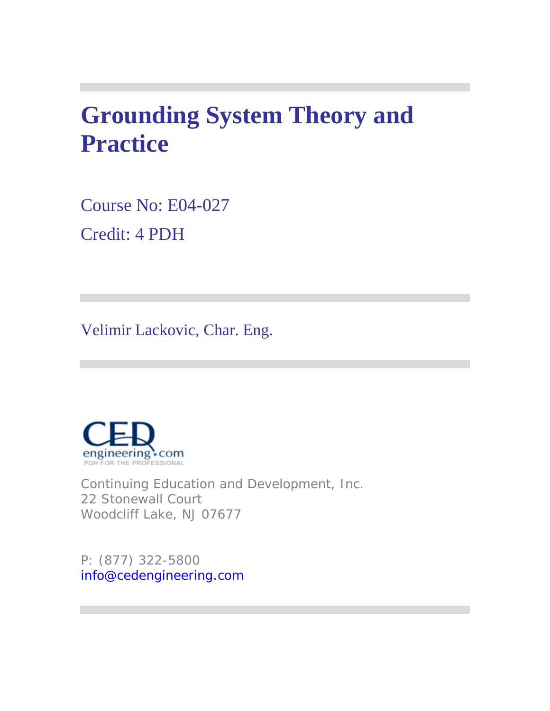# **Grounding System Theory and Practice**

Course No: E04-027 Credit: 4 PDH

Velimir Lackovic, Char. Eng.



Continuing Education and Development, Inc. 22 Stonewall Court Woodcliff Lake, NJ 07677

P: (877) 322-5800 info@cedengineering.com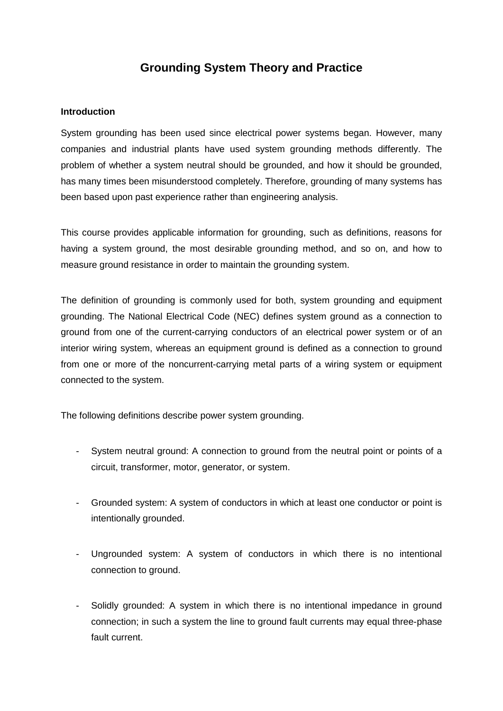# **Grounding System Theory and Practice**

# **Introduction**

System grounding has been used since electrical power systems began. However, many companies and industrial plants have used system grounding methods differently. The problem of whether a system neutral should be grounded, and how it should be grounded, has many times been misunderstood completely. Therefore, grounding of many systems has been based upon past experience rather than engineering analysis.

This course provides applicable information for grounding, such as definitions, reasons for having a system ground, the most desirable grounding method, and so on, and how to measure ground resistance in order to maintain the grounding system.

The definition of grounding is commonly used for both, system grounding and equipment grounding. The National Electrical Code (NEC) defines system ground as a connection to ground from one of the current-carrying conductors of an electrical power system or of an interior wiring system, whereas an equipment ground is defined as a connection to ground from one or more of the noncurrent-carrying metal parts of a wiring system or equipment connected to the system.

The following definitions describe power system grounding.

- System neutral ground: A connection to ground from the neutral point or points of a circuit, transformer, motor, generator, or system.
- Grounded system: A system of conductors in which at least one conductor or point is intentionally grounded.
- Ungrounded system: A system of conductors in which there is no intentional connection to ground.
- Solidly grounded: A system in which there is no intentional impedance in ground connection; in such a system the line to ground fault currents may equal three-phase fault current.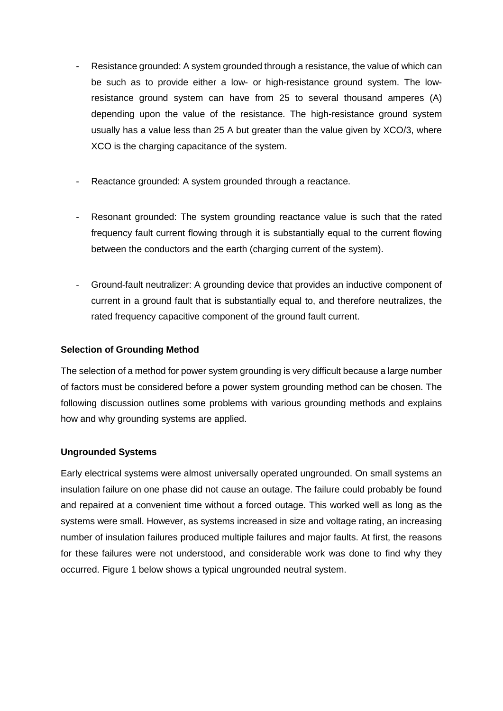- Resistance grounded: A system grounded through a resistance, the value of which can be such as to provide either a low- or high-resistance ground system. The lowresistance ground system can have from 25 to several thousand amperes (A) depending upon the value of the resistance. The high-resistance ground system usually has a value less than 25 A but greater than the value given by XCO/3, where XCO is the charging capacitance of the system.
- Reactance grounded: A system grounded through a reactance.
- Resonant grounded: The system grounding reactance value is such that the rated frequency fault current flowing through it is substantially equal to the current flowing between the conductors and the earth (charging current of the system).
- Ground-fault neutralizer: A grounding device that provides an inductive component of current in a ground fault that is substantially equal to, and therefore neutralizes, the rated frequency capacitive component of the ground fault current.

# **Selection of Grounding Method**

The selection of a method for power system grounding is very difficult because a large number of factors must be considered before a power system grounding method can be chosen. The following discussion outlines some problems with various grounding methods and explains how and why grounding systems are applied.

# **Ungrounded Systems**

Early electrical systems were almost universally operated ungrounded. On small systems an insulation failure on one phase did not cause an outage. The failure could probably be found and repaired at a convenient time without a forced outage. This worked well as long as the systems were small. However, as systems increased in size and voltage rating, an increasing number of insulation failures produced multiple failures and major faults. At first, the reasons for these failures were not understood, and considerable work was done to find why they occurred. Figure 1 below shows a typical ungrounded neutral system.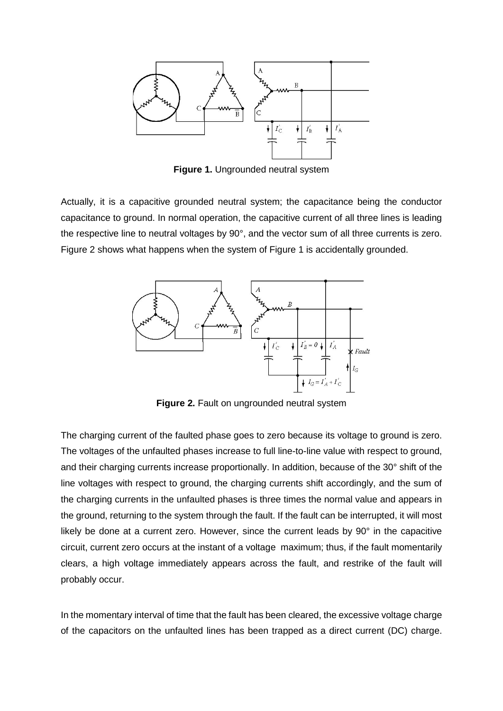

**Figure 1.** Ungrounded neutral system

Actually, it is a capacitive grounded neutral system; the capacitance being the conductor capacitance to ground. In normal operation, the capacitive current of all three lines is leading the respective line to neutral voltages by 90°, and the vector sum of all three currents is zero. Figure 2 shows what happens when the system of Figure 1 is accidentally grounded.



**Figure 2.** Fault on ungrounded neutral system

The charging current of the faulted phase goes to zero because its voltage to ground is zero. The voltages of the unfaulted phases increase to full line-to-line value with respect to ground, and their charging currents increase proportionally. In addition, because of the 30° shift of the line voltages with respect to ground, the charging currents shift accordingly, and the sum of the charging currents in the unfaulted phases is three times the normal value and appears in the ground, returning to the system through the fault. If the fault can be interrupted, it will most likely be done at a current zero. However, since the current leads by 90° in the capacitive circuit, current zero occurs at the instant of a voltage maximum; thus, if the fault momentarily clears, a high voltage immediately appears across the fault, and restrike of the fault will probably occur.

In the momentary interval of time that the fault has been cleared, the excessive voltage charge of the capacitors on the unfaulted lines has been trapped as a direct current (DC) charge.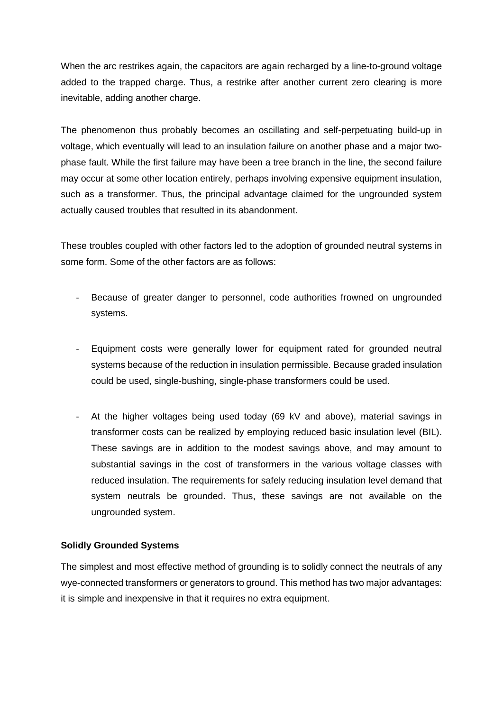When the arc restrikes again, the capacitors are again recharged by a line-to-ground voltage added to the trapped charge. Thus, a restrike after another current zero clearing is more inevitable, adding another charge.

The phenomenon thus probably becomes an oscillating and self-perpetuating build-up in voltage, which eventually will lead to an insulation failure on another phase and a major twophase fault. While the first failure may have been a tree branch in the line, the second failure may occur at some other location entirely, perhaps involving expensive equipment insulation, such as a transformer. Thus, the principal advantage claimed for the ungrounded system actually caused troubles that resulted in its abandonment.

These troubles coupled with other factors led to the adoption of grounded neutral systems in some form. Some of the other factors are as follows:

- Because of greater danger to personnel, code authorities frowned on ungrounded systems.
- Equipment costs were generally lower for equipment rated for grounded neutral systems because of the reduction in insulation permissible. Because graded insulation could be used, single-bushing, single-phase transformers could be used.
- At the higher voltages being used today (69 kV and above), material savings in transformer costs can be realized by employing reduced basic insulation level (BIL). These savings are in addition to the modest savings above, and may amount to substantial savings in the cost of transformers in the various voltage classes with reduced insulation. The requirements for safely reducing insulation level demand that system neutrals be grounded. Thus, these savings are not available on the ungrounded system.

# **Solidly Grounded Systems**

The simplest and most effective method of grounding is to solidly connect the neutrals of any wye-connected transformers or generators to ground. This method has two major advantages: it is simple and inexpensive in that it requires no extra equipment.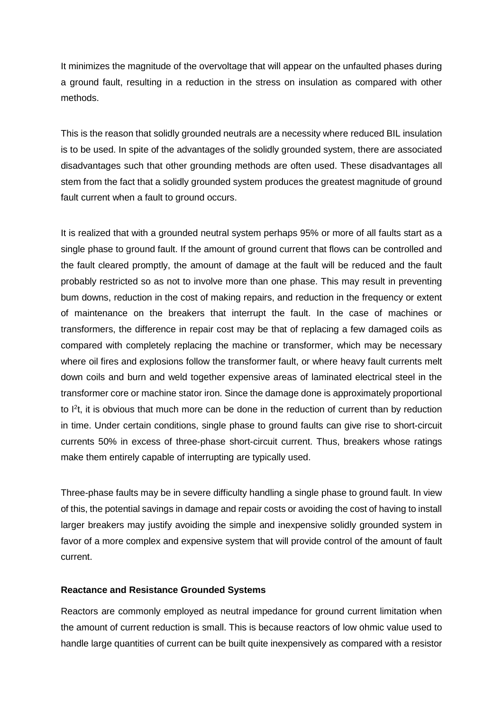It minimizes the magnitude of the overvoltage that will appear on the unfaulted phases during a ground fault, resulting in a reduction in the stress on insulation as compared with other methods.

This is the reason that solidly grounded neutrals are a necessity where reduced BIL insulation is to be used. In spite of the advantages of the solidly grounded system, there are associated disadvantages such that other grounding methods are often used. These disadvantages all stem from the fact that a solidly grounded system produces the greatest magnitude of ground fault current when a fault to ground occurs.

It is realized that with a grounded neutral system perhaps 95% or more of all faults start as a single phase to ground fault. If the amount of ground current that flows can be controlled and the fault cleared promptly, the amount of damage at the fault will be reduced and the fault probably restricted so as not to involve more than one phase. This may result in preventing bum downs, reduction in the cost of making repairs, and reduction in the frequency or extent of maintenance on the breakers that interrupt the fault. In the case of machines or transformers, the difference in repair cost may be that of replacing a few damaged coils as compared with completely replacing the machine or transformer, which may be necessary where oil fires and explosions follow the transformer fault, or where heavy fault currents melt down coils and burn and weld together expensive areas of laminated electrical steel in the transformer core or machine stator iron. Since the damage done is approximately proportional to  $I<sup>2</sup>t$ , it is obvious that much more can be done in the reduction of current than by reduction in time. Under certain conditions, single phase to ground faults can give rise to short-circuit currents 50% in excess of three-phase short-circuit current. Thus, breakers whose ratings make them entirely capable of interrupting are typically used.

Three-phase faults may be in severe difficulty handling a single phase to ground fault. In view of this, the potential savings in damage and repair costs or avoiding the cost of having to install larger breakers may justify avoiding the simple and inexpensive solidly grounded system in favor of a more complex and expensive system that will provide control of the amount of fault current.

# **Reactance and Resistance Grounded Systems**

Reactors are commonly employed as neutral impedance for ground current limitation when the amount of current reduction is small. This is because reactors of low ohmic value used to handle large quantities of current can be built quite inexpensively as compared with a resistor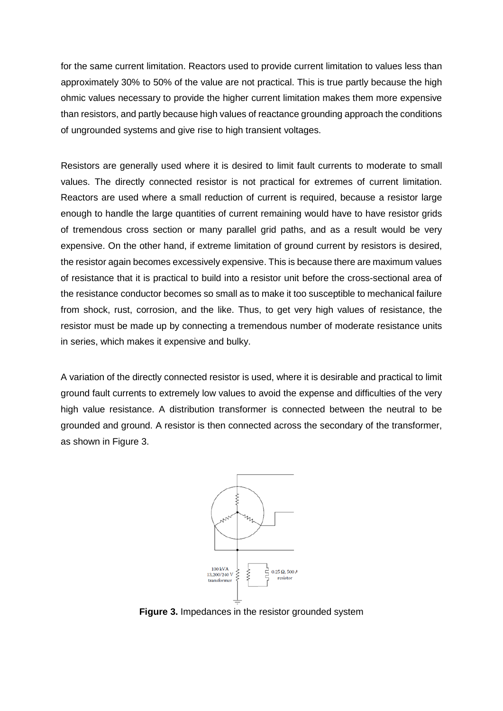for the same current limitation. Reactors used to provide current limitation to values less than approximately 30% to 50% of the value are not practical. This is true partly because the high ohmic values necessary to provide the higher current limitation makes them more expensive than resistors, and partly because high values of reactance grounding approach the conditions of ungrounded systems and give rise to high transient voltages.

Resistors are generally used where it is desired to limit fault currents to moderate to small values. The directly connected resistor is not practical for extremes of current limitation. Reactors are used where a small reduction of current is required, because a resistor large enough to handle the large quantities of current remaining would have to have resistor grids of tremendous cross section or many parallel grid paths, and as a result would be very expensive. On the other hand, if extreme limitation of ground current by resistors is desired, the resistor again becomes excessively expensive. This is because there are maximum values of resistance that it is practical to build into a resistor unit before the cross-sectional area of the resistance conductor becomes so small as to make it too susceptible to mechanical failure from shock, rust, corrosion, and the like. Thus, to get very high values of resistance, the resistor must be made up by connecting a tremendous number of moderate resistance units in series, which makes it expensive and bulky.

A variation of the directly connected resistor is used, where it is desirable and practical to limit ground fault currents to extremely low values to avoid the expense and difficulties of the very high value resistance. A distribution transformer is connected between the neutral to be grounded and ground. A resistor is then connected across the secondary of the transformer, as shown in Figure 3.



**Figure 3.** Impedances in the resistor grounded system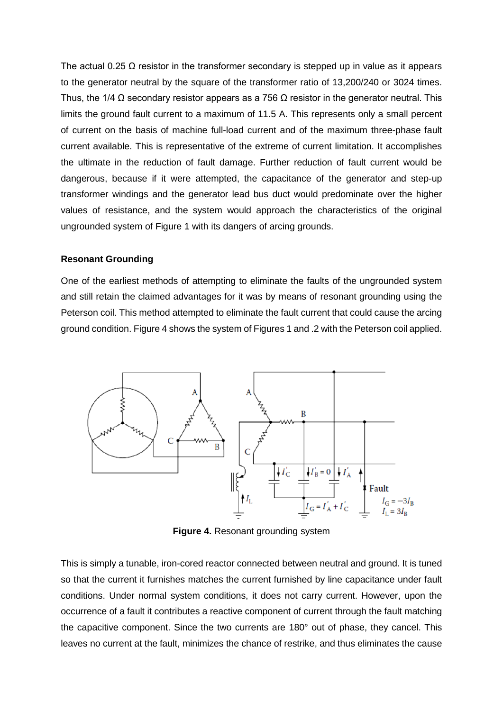The actual 0.25  $\Omega$  resistor in the transformer secondary is stepped up in value as it appears to the generator neutral by the square of the transformer ratio of 13,200/240 or 3024 times. Thus, the 1/4  $\Omega$  secondary resistor appears as a 756  $\Omega$  resistor in the generator neutral. This limits the ground fault current to a maximum of 11.5 A. This represents only a small percent of current on the basis of machine full-load current and of the maximum three-phase fault current available. This is representative of the extreme of current limitation. It accomplishes the ultimate in the reduction of fault damage. Further reduction of fault current would be dangerous, because if it were attempted, the capacitance of the generator and step-up transformer windings and the generator lead bus duct would predominate over the higher values of resistance, and the system would approach the characteristics of the original ungrounded system of Figure 1 with its dangers of arcing grounds.

#### **Resonant Grounding**

One of the earliest methods of attempting to eliminate the faults of the ungrounded system and still retain the claimed advantages for it was by means of resonant grounding using the Peterson coil. This method attempted to eliminate the fault current that could cause the arcing ground condition. Figure 4 shows the system of Figures 1 and .2 with the Peterson coil applied.



**Figure 4.** Resonant grounding system

This is simply a tunable, iron-cored reactor connected between neutral and ground. It is tuned so that the current it furnishes matches the current furnished by line capacitance under fault conditions. Under normal system conditions, it does not carry current. However, upon the occurrence of a fault it contributes a reactive component of current through the fault matching the capacitive component. Since the two currents are 180° out of phase, they cancel. This leaves no current at the fault, minimizes the chance of restrike, and thus eliminates the cause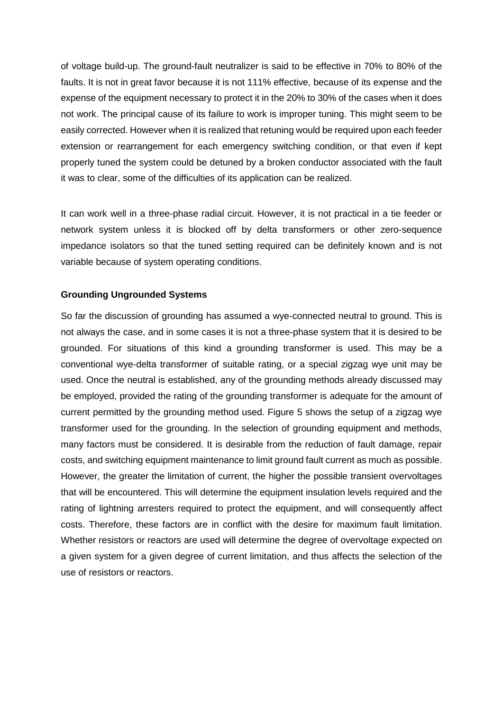of voltage build-up. The ground-fault neutralizer is said to be effective in 70% to 80% of the faults. It is not in great favor because it is not 111% effective, because of its expense and the expense of the equipment necessary to protect it in the 20% to 30% of the cases when it does not work. The principal cause of its failure to work is improper tuning. This might seem to be easily corrected. However when it is realized that retuning would be required upon each feeder extension or rearrangement for each emergency switching condition, or that even if kept properly tuned the system could be detuned by a broken conductor associated with the fault it was to clear, some of the difficulties of its application can be realized.

It can work well in a three-phase radial circuit. However, it is not practical in a tie feeder or network system unless it is blocked off by delta transformers or other zero-sequence impedance isolators so that the tuned setting required can be definitely known and is not variable because of system operating conditions.

# **Grounding Ungrounded Systems**

So far the discussion of grounding has assumed a wye-connected neutral to ground. This is not always the case, and in some cases it is not a three-phase system that it is desired to be grounded. For situations of this kind a grounding transformer is used. This may be a conventional wye-delta transformer of suitable rating, or a special zigzag wye unit may be used. Once the neutral is established, any of the grounding methods already discussed may be employed, provided the rating of the grounding transformer is adequate for the amount of current permitted by the grounding method used. Figure 5 shows the setup of a zigzag wye transformer used for the grounding. In the selection of grounding equipment and methods, many factors must be considered. It is desirable from the reduction of fault damage, repair costs, and switching equipment maintenance to limit ground fault current as much as possible. However, the greater the limitation of current, the higher the possible transient overvoltages that will be encountered. This will determine the equipment insulation levels required and the rating of lightning arresters required to protect the equipment, and will consequently affect costs. Therefore, these factors are in conflict with the desire for maximum fault limitation. Whether resistors or reactors are used will determine the degree of overvoltage expected on a given system for a given degree of current limitation, and thus affects the selection of the use of resistors or reactors.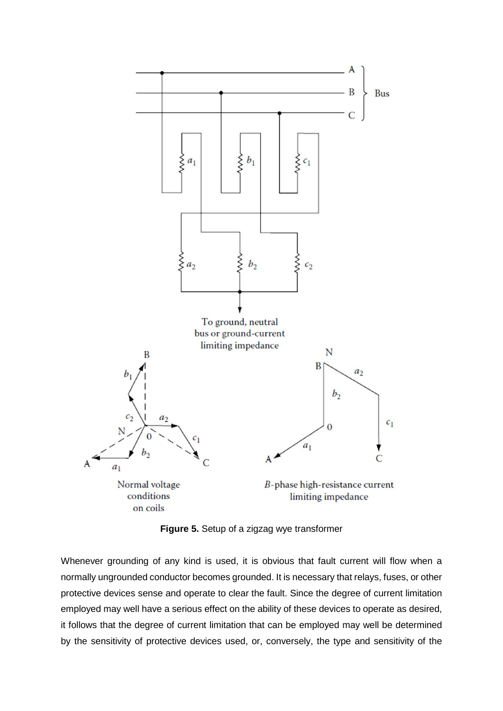

**Figure 5.** Setup of a zigzag wye transformer

Whenever grounding of any kind is used, it is obvious that fault current will flow when a normally ungrounded conductor becomes grounded. It is necessary that relays, fuses, or other protective devices sense and operate to clear the fault. Since the degree of current limitation employed may well have a serious effect on the ability of these devices to operate as desired, it follows that the degree of current limitation that can be employed may well be determined by the sensitivity of protective devices used, or, conversely, the type and sensitivity of the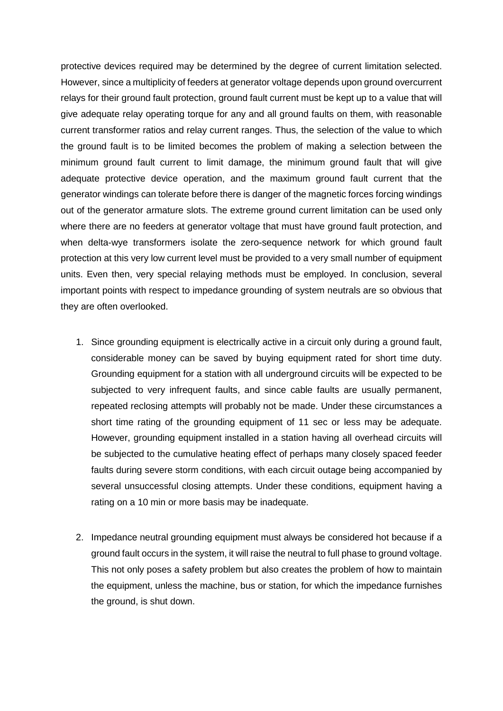protective devices required may be determined by the degree of current limitation selected. However, since a multiplicity of feeders at generator voltage depends upon ground overcurrent relays for their ground fault protection, ground fault current must be kept up to a value that will give adequate relay operating torque for any and all ground faults on them, with reasonable current transformer ratios and relay current ranges. Thus, the selection of the value to which the ground fault is to be limited becomes the problem of making a selection between the minimum ground fault current to limit damage, the minimum ground fault that will give adequate protective device operation, and the maximum ground fault current that the generator windings can tolerate before there is danger of the magnetic forces forcing windings out of the generator armature slots. The extreme ground current limitation can be used only where there are no feeders at generator voltage that must have ground fault protection, and when delta-wye transformers isolate the zero-sequence network for which ground fault protection at this very low current level must be provided to a very small number of equipment units. Even then, very special relaying methods must be employed. In conclusion, several important points with respect to impedance grounding of system neutrals are so obvious that they are often overlooked.

- 1. Since grounding equipment is electrically active in a circuit only during a ground fault, considerable money can be saved by buying equipment rated for short time duty. Grounding equipment for a station with all underground circuits will be expected to be subjected to very infrequent faults, and since cable faults are usually permanent, repeated reclosing attempts will probably not be made. Under these circumstances a short time rating of the grounding equipment of 11 sec or less may be adequate. However, grounding equipment installed in a station having all overhead circuits will be subjected to the cumulative heating effect of perhaps many closely spaced feeder faults during severe storm conditions, with each circuit outage being accompanied by several unsuccessful closing attempts. Under these conditions, equipment having a rating on a 10 min or more basis may be inadequate.
- 2. Impedance neutral grounding equipment must always be considered hot because if a ground fault occurs in the system, it will raise the neutral to full phase to ground voltage. This not only poses a safety problem but also creates the problem of how to maintain the equipment, unless the machine, bus or station, for which the impedance furnishes the ground, is shut down.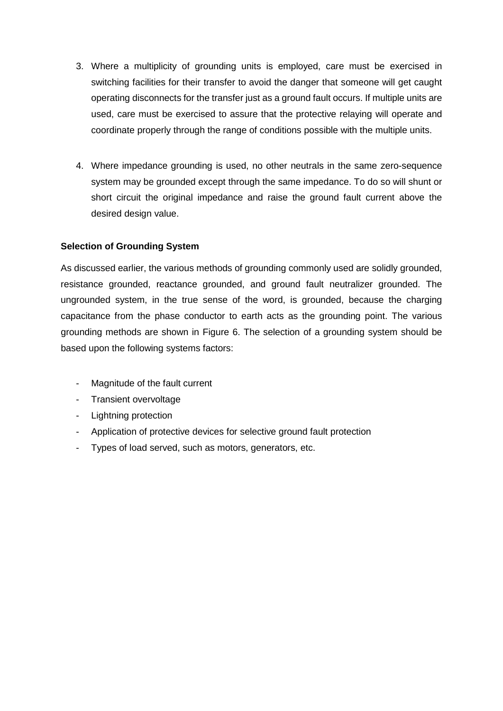- 3. Where a multiplicity of grounding units is employed, care must be exercised in switching facilities for their transfer to avoid the danger that someone will get caught operating disconnects for the transfer just as a ground fault occurs. If multiple units are used, care must be exercised to assure that the protective relaying will operate and coordinate properly through the range of conditions possible with the multiple units.
- 4. Where impedance grounding is used, no other neutrals in the same zero-sequence system may be grounded except through the same impedance. To do so will shunt or short circuit the original impedance and raise the ground fault current above the desired design value.

# **Selection of Grounding System**

As discussed earlier, the various methods of grounding commonly used are solidly grounded, resistance grounded, reactance grounded, and ground fault neutralizer grounded. The ungrounded system, in the true sense of the word, is grounded, because the charging capacitance from the phase conductor to earth acts as the grounding point. The various grounding methods are shown in Figure 6. The selection of a grounding system should be based upon the following systems factors:

- Magnitude of the fault current
- Transient overvoltage
- Lightning protection
- Application of protective devices for selective ground fault protection
- Types of load served, such as motors, generators, etc.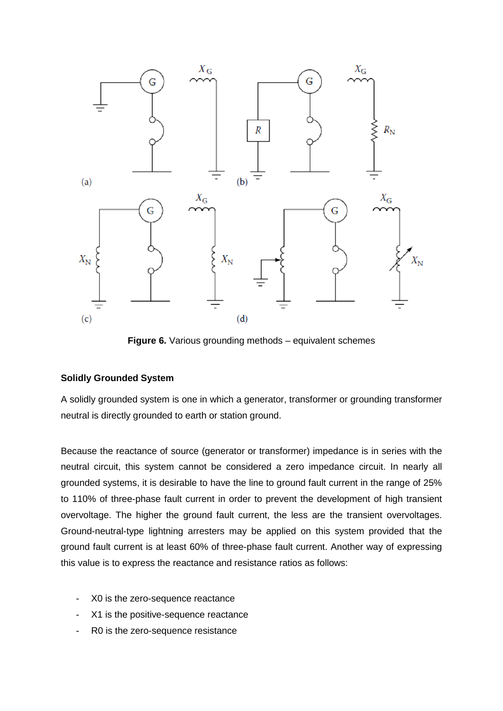

**Figure 6.** Various grounding methods – equivalent schemes

# **Solidly Grounded System**

A solidly grounded system is one in which a generator, transformer or grounding transformer neutral is directly grounded to earth or station ground.

Because the reactance of source (generator or transformer) impedance is in series with the neutral circuit, this system cannot be considered a zero impedance circuit. In nearly all grounded systems, it is desirable to have the line to ground fault current in the range of 25% to 110% of three-phase fault current in order to prevent the development of high transient overvoltage. The higher the ground fault current, the less are the transient overvoltages. Ground-neutral-type lightning arresters may be applied on this system provided that the ground fault current is at least 60% of three-phase fault current. Another way of expressing this value is to express the reactance and resistance ratios as follows:

- X0 is the zero-sequence reactance
- X1 is the positive-sequence reactance
- R0 is the zero-sequence resistance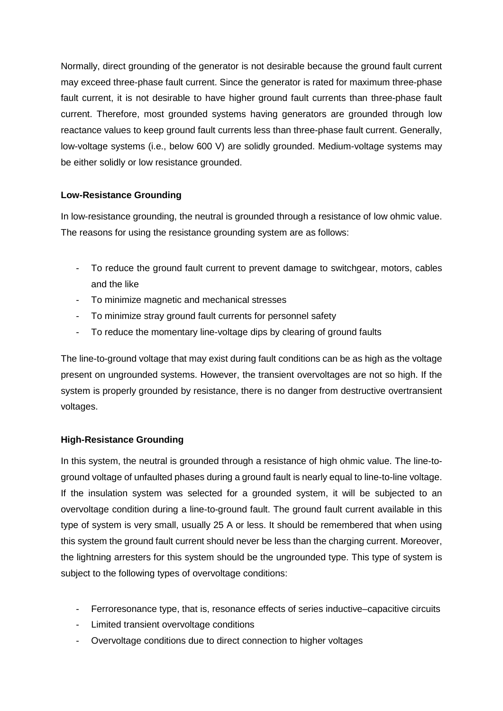Normally, direct grounding of the generator is not desirable because the ground fault current may exceed three-phase fault current. Since the generator is rated for maximum three-phase fault current, it is not desirable to have higher ground fault currents than three-phase fault current. Therefore, most grounded systems having generators are grounded through low reactance values to keep ground fault currents less than three-phase fault current. Generally, low-voltage systems (i.e., below 600 V) are solidly grounded. Medium-voltage systems may be either solidly or low resistance grounded.

# **Low-Resistance Grounding**

In low-resistance grounding, the neutral is grounded through a resistance of low ohmic value. The reasons for using the resistance grounding system are as follows:

- To reduce the ground fault current to prevent damage to switchgear, motors, cables and the like
- To minimize magnetic and mechanical stresses
- To minimize stray ground fault currents for personnel safety
- To reduce the momentary line-voltage dips by clearing of ground faults

The line-to-ground voltage that may exist during fault conditions can be as high as the voltage present on ungrounded systems. However, the transient overvoltages are not so high. If the system is properly grounded by resistance, there is no danger from destructive overtransient voltages.

# **High-Resistance Grounding**

In this system, the neutral is grounded through a resistance of high ohmic value. The line-toground voltage of unfaulted phases during a ground fault is nearly equal to line-to-line voltage. If the insulation system was selected for a grounded system, it will be subjected to an overvoltage condition during a line-to-ground fault. The ground fault current available in this type of system is very small, usually 25 A or less. It should be remembered that when using this system the ground fault current should never be less than the charging current. Moreover, the lightning arresters for this system should be the ungrounded type. This type of system is subject to the following types of overvoltage conditions:

- Ferroresonance type, that is, resonance effects of series inductive–capacitive circuits
- Limited transient overvoltage conditions
- Overvoltage conditions due to direct connection to higher voltages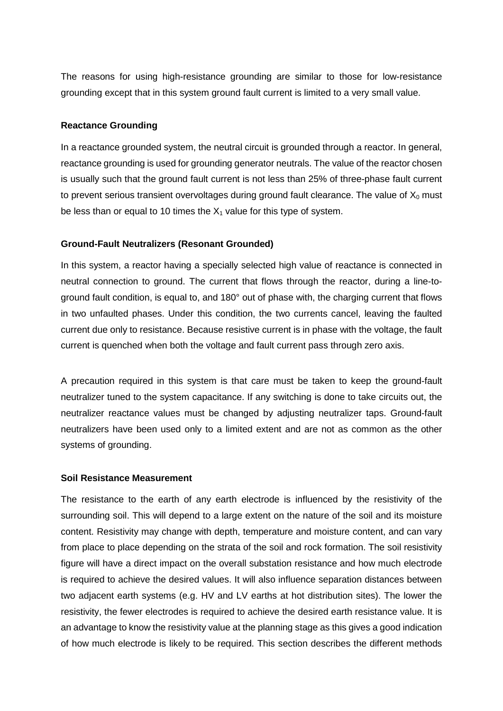The reasons for using high-resistance grounding are similar to those for low-resistance grounding except that in this system ground fault current is limited to a very small value.

#### **Reactance Grounding**

In a reactance grounded system, the neutral circuit is grounded through a reactor. In general, reactance grounding is used for grounding generator neutrals. The value of the reactor chosen is usually such that the ground fault current is not less than 25% of three-phase fault current to prevent serious transient overvoltages during ground fault clearance. The value of  $X_0$  must be less than or equal to 10 times the  $X_1$  value for this type of system.

#### **Ground-Fault Neutralizers (Resonant Grounded)**

In this system, a reactor having a specially selected high value of reactance is connected in neutral connection to ground. The current that flows through the reactor, during a line-toground fault condition, is equal to, and 180° out of phase with, the charging current that flows in two unfaulted phases. Under this condition, the two currents cancel, leaving the faulted current due only to resistance. Because resistive current is in phase with the voltage, the fault current is quenched when both the voltage and fault current pass through zero axis.

A precaution required in this system is that care must be taken to keep the ground-fault neutralizer tuned to the system capacitance. If any switching is done to take circuits out, the neutralizer reactance values must be changed by adjusting neutralizer taps. Ground-fault neutralizers have been used only to a limited extent and are not as common as the other systems of grounding.

#### **Soil Resistance Measurement**

The resistance to the earth of any earth electrode is influenced by the resistivity of the surrounding soil. This will depend to a large extent on the nature of the soil and its moisture content. Resistivity may change with depth, temperature and moisture content, and can vary from place to place depending on the strata of the soil and rock formation. The soil resistivity figure will have a direct impact on the overall substation resistance and how much electrode is required to achieve the desired values. It will also influence separation distances between two adjacent earth systems (e.g. HV and LV earths at hot distribution sites). The lower the resistivity, the fewer electrodes is required to achieve the desired earth resistance value. It is an advantage to know the resistivity value at the planning stage as this gives a good indication of how much electrode is likely to be required. This section describes the different methods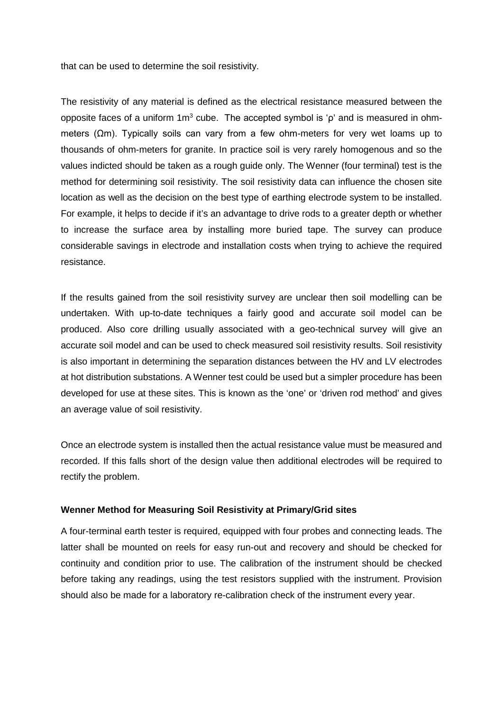that can be used to determine the soil resistivity.

The resistivity of any material is defined as the electrical resistance measured between the opposite faces of a uniform 1m<sup>3</sup> cube. The accepted symbol is 'ρ' and is measured in ohmmeters (Ωm). Typically soils can vary from a few ohm-meters for very wet loams up to thousands of ohm-meters for granite. In practice soil is very rarely homogenous and so the values indicted should be taken as a rough guide only. The Wenner (four terminal) test is the method for determining soil resistivity. The soil resistivity data can influence the chosen site location as well as the decision on the best type of earthing electrode system to be installed. For example, it helps to decide if it's an advantage to drive rods to a greater depth or whether to increase the surface area by installing more buried tape. The survey can produce considerable savings in electrode and installation costs when trying to achieve the required resistance.

If the results gained from the soil resistivity survey are unclear then soil modelling can be undertaken. With up-to-date techniques a fairly good and accurate soil model can be produced. Also core drilling usually associated with a geo-technical survey will give an accurate soil model and can be used to check measured soil resistivity results. Soil resistivity is also important in determining the separation distances between the HV and LV electrodes at hot distribution substations. A Wenner test could be used but a simpler procedure has been developed for use at these sites. This is known as the 'one' or 'driven rod method' and gives an average value of soil resistivity.

Once an electrode system is installed then the actual resistance value must be measured and recorded. If this falls short of the design value then additional electrodes will be required to rectify the problem.

#### **Wenner Method for Measuring Soil Resistivity at Primary/Grid sites**

A four-terminal earth tester is required, equipped with four probes and connecting leads. The latter shall be mounted on reels for easy run-out and recovery and should be checked for continuity and condition prior to use. The calibration of the instrument should be checked before taking any readings, using the test resistors supplied with the instrument. Provision should also be made for a laboratory re-calibration check of the instrument every year.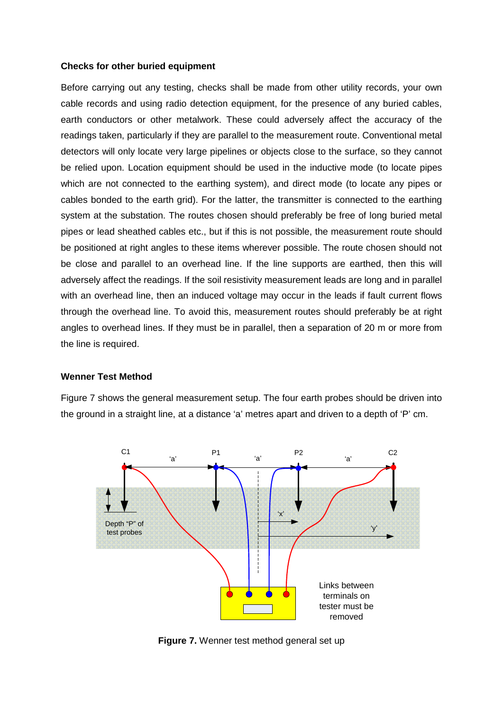#### **Checks for other buried equipment**

Before carrying out any testing, checks shall be made from other utility records, your own cable records and using radio detection equipment, for the presence of any buried cables, earth conductors or other metalwork. These could adversely affect the accuracy of the readings taken, particularly if they are parallel to the measurement route. Conventional metal detectors will only locate very large pipelines or objects close to the surface, so they cannot be relied upon. Location equipment should be used in the inductive mode (to locate pipes which are not connected to the earthing system), and direct mode (to locate any pipes or cables bonded to the earth grid). For the latter, the transmitter is connected to the earthing system at the substation. The routes chosen should preferably be free of long buried metal pipes or lead sheathed cables etc., but if this is not possible, the measurement route should be positioned at right angles to these items wherever possible. The route chosen should not be close and parallel to an overhead line. If the line supports are earthed, then this will adversely affect the readings. If the soil resistivity measurement leads are long and in parallel with an overhead line, then an induced voltage may occur in the leads if fault current flows through the overhead line. To avoid this, measurement routes should preferably be at right angles to overhead lines. If they must be in parallel, then a separation of 20 m or more from the line is required.

# **Wenner Test Method**

Figure 7 shows the general measurement setup. The four earth probes should be driven into the ground in a straight line, at a distance 'a' metres apart and driven to a depth of 'P' cm.



**Figure 7.** Wenner test method general set up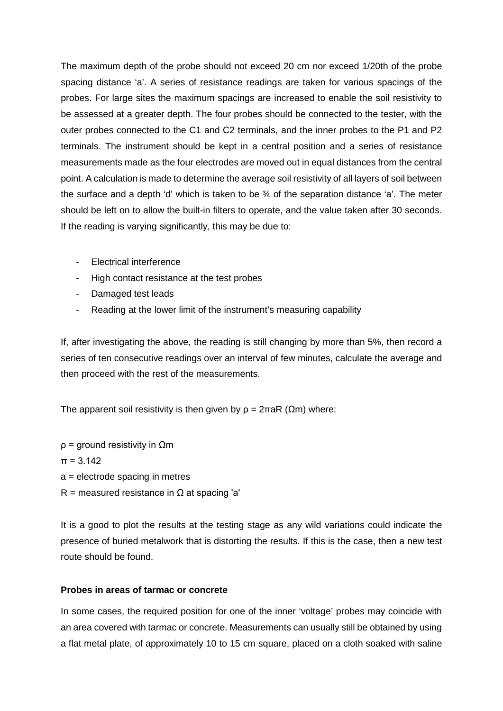The maximum depth of the probe should not exceed 20 cm nor exceed 1/20th of the probe spacing distance 'a'. A series of resistance readings are taken for various spacings of the probes. For large sites the maximum spacings are increased to enable the soil resistivity to be assessed at a greater depth. The four probes should be connected to the tester, with the outer probes connected to the C1 and C2 terminals, and the inner probes to the P1 and P2 terminals. The instrument should be kept in a central position and a series of resistance measurements made as the four electrodes are moved out in equal distances from the central point. A calculation is made to determine the average soil resistivity of all layers of soil between the surface and a depth 'd' which is taken to be ¾ of the separation distance 'a'. The meter should be left on to allow the built-in filters to operate, and the value taken after 30 seconds. If the reading is varying significantly, this may be due to:

- Electrical interference
- High contact resistance at the test probes
- Damaged test leads
- Reading at the lower limit of the instrument's measuring capability

If, after investigating the above, the reading is still changing by more than 5%, then record a series of ten consecutive readings over an interval of few minutes, calculate the average and then proceed with the rest of the measurements.

The apparent soil resistivity is then given by  $ρ = 2πaR (Ωm)$  where:

ρ = ground resistivity in Ωm

 $\pi = 3.142$ 

- a = electrode spacing in metres
- R = measured resistance in  $\Omega$  at spacing 'a'

It is a good to plot the results at the testing stage as any wild variations could indicate the presence of buried metalwork that is distorting the results. If this is the case, then a new test route should be found.

# **Probes in areas of tarmac or concrete**

In some cases, the required position for one of the inner 'voltage' probes may coincide with an area covered with tarmac or concrete. Measurements can usually still be obtained by using a flat metal plate, of approximately 10 to 15 cm square, placed on a cloth soaked with saline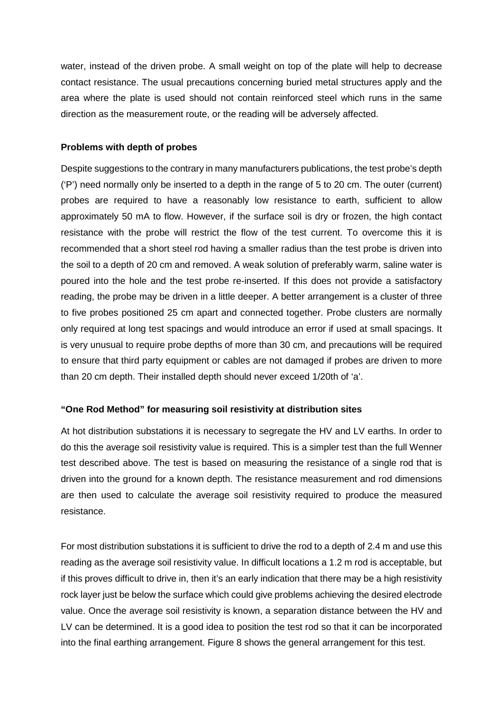water, instead of the driven probe. A small weight on top of the plate will help to decrease contact resistance. The usual precautions concerning buried metal structures apply and the area where the plate is used should not contain reinforced steel which runs in the same direction as the measurement route, or the reading will be adversely affected.

#### **Problems with depth of probes**

Despite suggestions to the contrary in many manufacturers publications, the test probe's depth ('P') need normally only be inserted to a depth in the range of 5 to 20 cm. The outer (current) probes are required to have a reasonably low resistance to earth, sufficient to allow approximately 50 mA to flow. However, if the surface soil is dry or frozen, the high contact resistance with the probe will restrict the flow of the test current. To overcome this it is recommended that a short steel rod having a smaller radius than the test probe is driven into the soil to a depth of 20 cm and removed. A weak solution of preferably warm, saline water is poured into the hole and the test probe re-inserted. If this does not provide a satisfactory reading, the probe may be driven in a little deeper. A better arrangement is a cluster of three to five probes positioned 25 cm apart and connected together. Probe clusters are normally only required at long test spacings and would introduce an error if used at small spacings. It is very unusual to require probe depths of more than 30 cm, and precautions will be required to ensure that third party equipment or cables are not damaged if probes are driven to more than 20 cm depth. Their installed depth should never exceed 1/20th of 'a'.

# **"One Rod Method" for measuring soil resistivity at distribution sites**

At hot distribution substations it is necessary to segregate the HV and LV earths. In order to do this the average soil resistivity value is required. This is a simpler test than the full Wenner test described above. The test is based on measuring the resistance of a single rod that is driven into the ground for a known depth. The resistance measurement and rod dimensions are then used to calculate the average soil resistivity required to produce the measured resistance.

For most distribution substations it is sufficient to drive the rod to a depth of 2.4 m and use this reading as the average soil resistivity value. In difficult locations a 1.2 m rod is acceptable, but if this proves difficult to drive in, then it's an early indication that there may be a high resistivity rock layer just be below the surface which could give problems achieving the desired electrode value. Once the average soil resistivity is known, a separation distance between the HV and LV can be determined. It is a good idea to position the test rod so that it can be incorporated into the final earthing arrangement. Figure 8 shows the general arrangement for this test.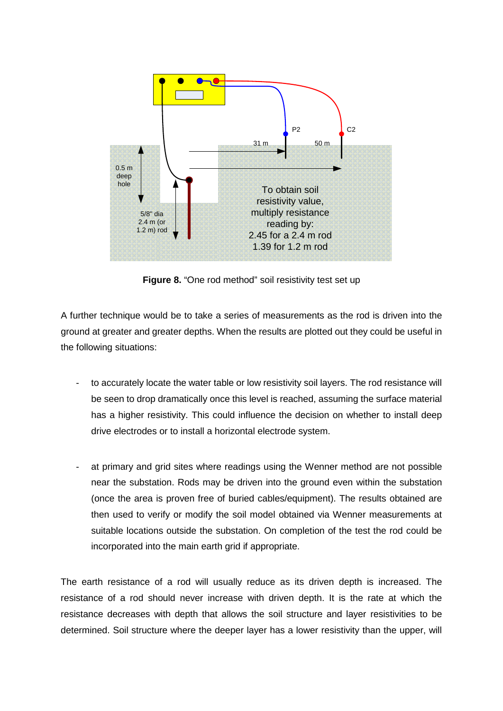

**Figure 8.** "One rod method" soil resistivity test set up

A further technique would be to take a series of measurements as the rod is driven into the ground at greater and greater depths. When the results are plotted out they could be useful in the following situations:

- to accurately locate the water table or low resistivity soil layers. The rod resistance will be seen to drop dramatically once this level is reached, assuming the surface material has a higher resistivity. This could influence the decision on whether to install deep drive electrodes or to install a horizontal electrode system.
- at primary and grid sites where readings using the Wenner method are not possible near the substation. Rods may be driven into the ground even within the substation (once the area is proven free of buried cables/equipment). The results obtained are then used to verify or modify the soil model obtained via Wenner measurements at suitable locations outside the substation. On completion of the test the rod could be incorporated into the main earth grid if appropriate.

The earth resistance of a rod will usually reduce as its driven depth is increased. The resistance of a rod should never increase with driven depth. It is the rate at which the resistance decreases with depth that allows the soil structure and layer resistivities to be determined. Soil structure where the deeper layer has a lower resistivity than the upper, will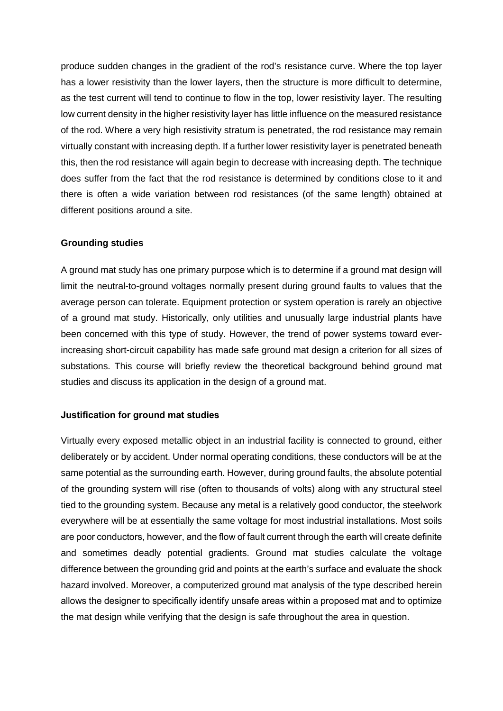produce sudden changes in the gradient of the rod's resistance curve. Where the top layer has a lower resistivity than the lower layers, then the structure is more difficult to determine, as the test current will tend to continue to flow in the top, lower resistivity layer. The resulting low current density in the higher resistivity layer has little influence on the measured resistance of the rod. Where a very high resistivity stratum is penetrated, the rod resistance may remain virtually constant with increasing depth. If a further lower resistivity layer is penetrated beneath this, then the rod resistance will again begin to decrease with increasing depth. The technique does suffer from the fact that the rod resistance is determined by conditions close to it and there is often a wide variation between rod resistances (of the same length) obtained at different positions around a site.

# **Grounding studies**

A ground mat study has one primary purpose which is to determine if a ground mat design will limit the neutral-to-ground voltages normally present during ground faults to values that the average person can tolerate. Equipment protection or system operation is rarely an objective of a ground mat study. Historically, only utilities and unusually large industrial plants have been concerned with this type of study. However, the trend of power systems toward everincreasing short-circuit capability has made safe ground mat design a criterion for all sizes of substations. This course will briefly review the theoretical background behind ground mat studies and discuss its application in the design of a ground mat.

#### **Justification for ground mat studies**

Virtually every exposed metallic object in an industrial facility is connected to ground, either deliberately or by accident. Under normal operating conditions, these conductors will be at the same potential as the surrounding earth. However, during ground faults, the absolute potential of the grounding system will rise (often to thousands of volts) along with any structural steel tied to the grounding system. Because any metal is a relatively good conductor, the steelwork everywhere will be at essentially the same voltage for most industrial installations. Most soils are poor conductors, however, and the flow of fault current through the earth will create definite and sometimes deadly potential gradients. Ground mat studies calculate the voltage difference between the grounding grid and points at the earth's surface and evaluate the shock hazard involved. Moreover, a computerized ground mat analysis of the type described herein allows the designer to specifically identify unsafe areas within a proposed mat and to optimize the mat design while verifying that the design is safe throughout the area in question.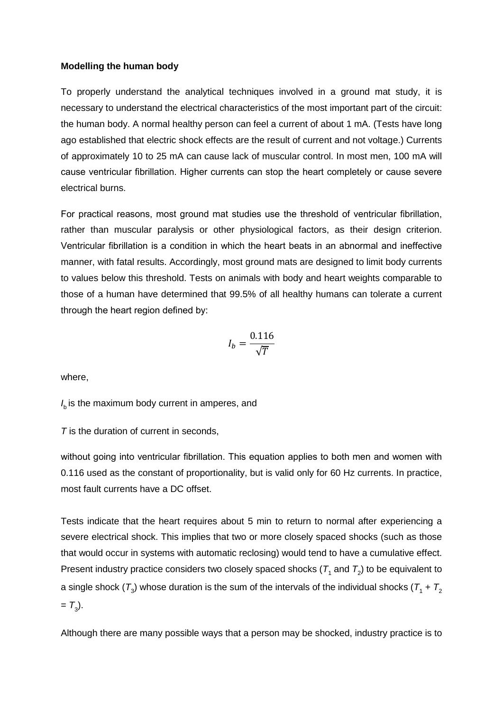#### **Modelling the human body**

To properly understand the analytical techniques involved in a ground mat study, it is necessary to understand the electrical characteristics of the most important part of the circuit: the human body. A normal healthy person can feel a current of about 1 mA. (Tests have long ago established that electric shock effects are the result of current and not voltage.) Currents of approximately 10 to 25 mA can cause lack of muscular control. In most men, 100 mA will cause ventricular fibrillation. Higher currents can stop the heart completely or cause severe electrical burns.

For practical reasons, most ground mat studies use the threshold of ventricular fibrillation, rather than muscular paralysis or other physiological factors, as their design criterion. Ventricular fibrillation is a condition in which the heart beats in an abnormal and ineffective manner, with fatal results. Accordingly, most ground mats are designed to limit body currents to values below this threshold. Tests on animals with body and heart weights comparable to those of a human have determined that 99.5% of all healthy humans can tolerate a current through the heart region defined by:

$$
I_b = \frac{0.116}{\sqrt{T}}
$$

where,

 $I_{\rm b}$  is the maximum body current in amperes, and

*T* is the duration of current in seconds,

without going into ventricular fibrillation. This equation applies to both men and women with 0.116 used as the constant of proportionality, but is valid only for 60 Hz currents. In practice, most fault currents have a DC offset.

Tests indicate that the heart requires about 5 min to return to normal after experiencing a severe electrical shock. This implies that two or more closely spaced shocks (such as those that would occur in systems with automatic reclosing) would tend to have a cumulative effect. Present industry practice considers two closely spaced shocks ( $T_1$  and  $T_2$ ) to be equivalent to a single shock ( $T_3$ ) whose duration is the sum of the intervals of the individual shocks ( $T_1 + T_2$  $=$   $\overline{T}_3$ ).

Although there are many possible ways that a person may be shocked, industry practice is to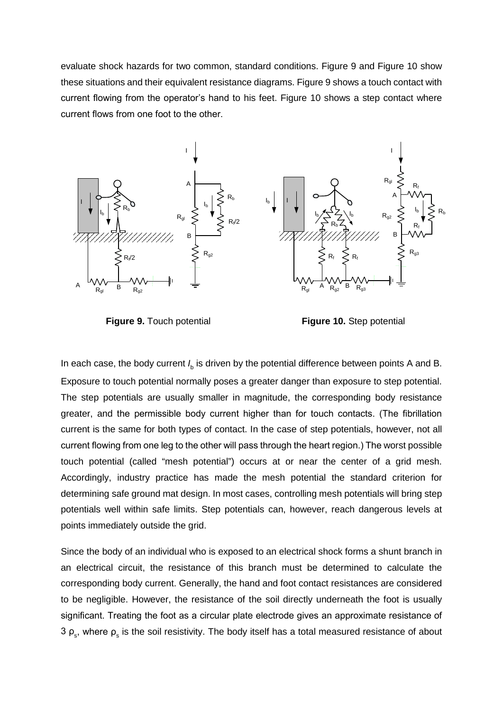evaluate shock hazards for two common, standard conditions. Figure 9 and Figure 10 show these situations and their equivalent resistance diagrams. Figure 9 shows a touch contact with current flowing from the operator's hand to his feet. Figure 10 shows a step contact where current flows from one foot to the other.



**Figure 9.** Touch potential **Figure 10.** Step potential

In each case, the body current  $I_{\rm b}$  is driven by the potential difference between points A and B. Exposure to touch potential normally poses a greater danger than exposure to step potential. The step potentials are usually smaller in magnitude, the corresponding body resistance greater, and the permissible body current higher than for touch contacts. (The fibrillation current is the same for both types of contact. In the case of step potentials, however, not all current flowing from one leg to the other will pass through the heart region.) The worst possible touch potential (called "mesh potential") occurs at or near the center of a grid mesh. Accordingly, industry practice has made the mesh potential the standard criterion for determining safe ground mat design. In most cases, controlling mesh potentials will bring step potentials well within safe limits. Step potentials can, however, reach dangerous levels at points immediately outside the grid.

Since the body of an individual who is exposed to an electrical shock forms a shunt branch in an electrical circuit, the resistance of this branch must be determined to calculate the corresponding body current. Generally, the hand and foot contact resistances are considered to be negligible. However, the resistance of the soil directly underneath the foot is usually significant. Treating the foot as a circular plate electrode gives an approximate resistance of 3  $\rho_{\rm s}$ , where  $\rho_{\rm s}$  is the soil resistivity. The body itself has a total measured resistance of about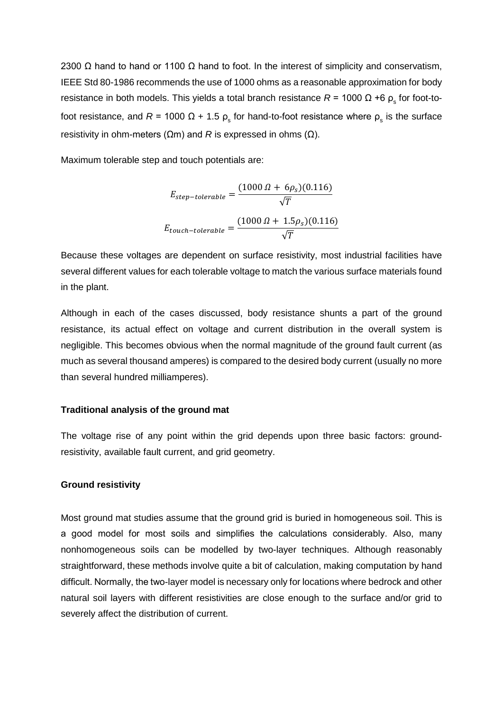2300 Ω hand to hand or 1100 Ω hand to foot. In the interest of simplicity and conservatism, IEEE Std 80-1986 recommends the use of 1000 ohms as a reasonable approximation for body resistance in both models. This yields a total branch resistance  $R = 1000 Ω + 6 ρ<sub>s</sub>$  for foot-tofoot resistance, and  $R = 1000 \Omega + 1.5 \rho_s$  for hand-to-foot resistance where  $\rho_s$  is the surface resistivity in ohm-meters ( $Ωm$ ) and *R* is expressed in ohms ( $Ω$ ).

Maximum tolerable step and touch potentials are:

$$
E_{step-tolerable} = \frac{(1000 \Omega + 6\rho_s)(0.116)}{\sqrt{T}}
$$

$$
E_{touch-tolerable} = \frac{(1000 \Omega + 1.5\rho_s)(0.116)}{\sqrt{T}}
$$

Because these voltages are dependent on surface resistivity, most industrial facilities have several different values for each tolerable voltage to match the various surface materials found in the plant.

Although in each of the cases discussed, body resistance shunts a part of the ground resistance, its actual effect on voltage and current distribution in the overall system is negligible. This becomes obvious when the normal magnitude of the ground fault current (as much as several thousand amperes) is compared to the desired body current (usually no more than several hundred milliamperes).

#### **Traditional analysis of the ground mat**

The voltage rise of any point within the grid depends upon three basic factors: groundresistivity, available fault current, and grid geometry.

#### **Ground resistivity**

Most ground mat studies assume that the ground grid is buried in homogeneous soil. This is a good model for most soils and simplifies the calculations considerably. Also, many nonhomogeneous soils can be modelled by two-layer techniques. Although reasonably straightforward, these methods involve quite a bit of calculation, making computation by hand difficult. Normally, the two-layer model is necessary only for locations where bedrock and other natural soil layers with different resistivities are close enough to the surface and/or grid to severely affect the distribution of current.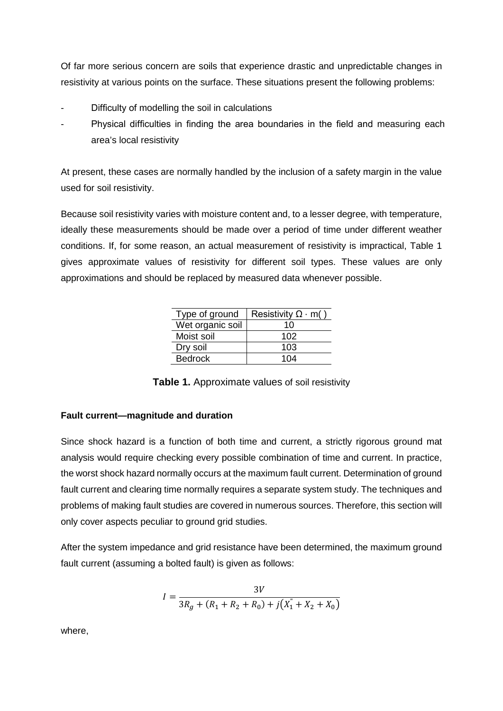Of far more serious concern are soils that experience drastic and unpredictable changes in resistivity at various points on the surface. These situations present the following problems:

- Difficulty of modelling the soil in calculations
- Physical difficulties in finding the area boundaries in the field and measuring each area's local resistivity

At present, these cases are normally handled by the inclusion of a safety margin in the value used for soil resistivity.

Because soil resistivity varies with moisture content and, to a lesser degree, with temperature, ideally these measurements should be made over a period of time under different weather conditions. If, for some reason, an actual measurement of resistivity is impractical, Table 1 gives approximate values of resistivity for different soil types. These values are only approximations and should be replaced by measured data whenever possible.

| Type of ground   | Resistivity $\Omega \cdot m($ ) |
|------------------|---------------------------------|
| Wet organic soil | 10                              |
| Moist soil       | 102                             |
| Dry soil         | 103                             |
| <b>Bedrock</b>   | 104                             |

**Table 1.** Approximate values of soil resistivity

# **Fault current—magnitude and duration**

Since shock hazard is a function of both time and current, a strictly rigorous ground mat analysis would require checking every possible combination of time and current. In practice, the worst shock hazard normally occurs at the maximum fault current. Determination of ground fault current and clearing time normally requires a separate system study. The techniques and problems of making fault studies are covered in numerous sources. Therefore, this section will only cover aspects peculiar to ground grid studies.

After the system impedance and grid resistance have been determined, the maximum ground fault current (assuming a bolted fault) is given as follows:

$$
I = \frac{3V}{3R_g + (R_1 + R_2 + R_0) + j(X_1 + X_2 + X_0)}
$$

where,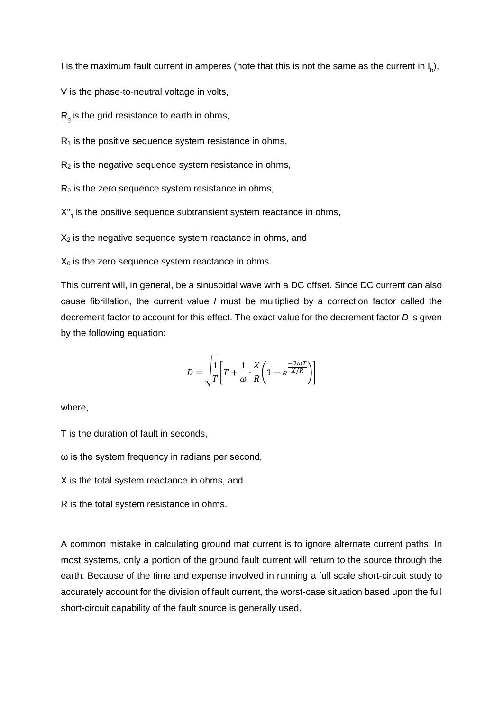I is the maximum fault current in amperes (note that this is not the same as the current in  $I_{\rm b}$ ),

V is the phase-to-neutral voltage in volts,

 $R_a$  is the grid resistance to earth in ohms,

 $R_1$  is the positive sequence system resistance in ohms,

 $R<sub>2</sub>$  is the negative sequence system resistance in ohms,

 $R_0$  is the zero sequence system resistance in ohms,

 $X_{1}^{\prime}$  is the positive sequence subtransient system reactance in ohms,

 $X<sub>2</sub>$  is the negative sequence system reactance in ohms, and

 $X_0$  is the zero sequence system reactance in ohms.

This current will, in general, be a sinusoidal wave with a DC offset. Since DC current can also cause fibrillation, the current value *I* must be multiplied by a correction factor called the decrement factor to account for this effect. The exact value for the decrement factor *D* is given by the following equation:

$$
D = \sqrt{\frac{1}{T} \left[ T + \frac{1}{\omega} \cdot \frac{X}{R} \left( 1 - e^{\frac{-2\omega T}{X/R}} \right) \right]}
$$

where,

T is the duration of fault in seconds,

ω is the system frequency in radians per second,

X is the total system reactance in ohms, and

R is the total system resistance in ohms.

A common mistake in calculating ground mat current is to ignore alternate current paths. In most systems, only a portion of the ground fault current will return to the source through the earth. Because of the time and expense involved in running a full scale short-circuit study to accurately account for the division of fault current, the worst-case situation based upon the full short-circuit capability of the fault source is generally used.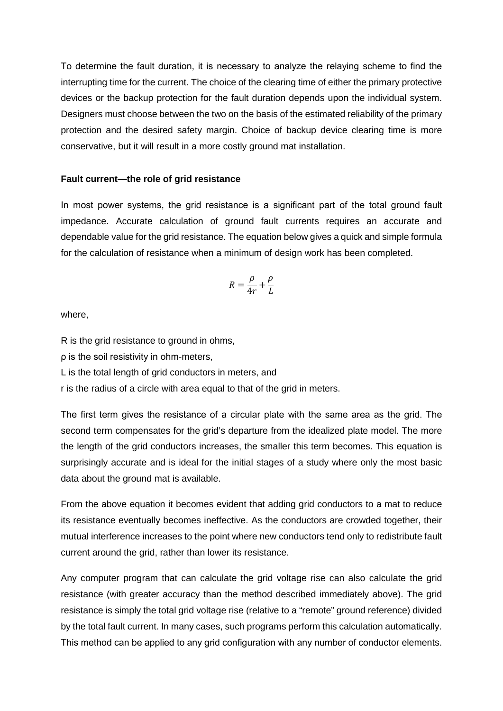To determine the fault duration, it is necessary to analyze the relaying scheme to find the interrupting time for the current. The choice of the clearing time of either the primary protective devices or the backup protection for the fault duration depends upon the individual system. Designers must choose between the two on the basis of the estimated reliability of the primary protection and the desired safety margin. Choice of backup device clearing time is more conservative, but it will result in a more costly ground mat installation.

#### **Fault current—the role of grid resistance**

In most power systems, the grid resistance is a significant part of the total ground fault impedance. Accurate calculation of ground fault currents requires an accurate and dependable value for the grid resistance. The equation below gives a quick and simple formula for the calculation of resistance when a minimum of design work has been completed.

$$
R = \frac{\rho}{4r} + \frac{\rho}{L}
$$

where,

R is the grid resistance to ground in ohms,

ρ is the soil resistivity in ohm-meters,

L is the total length of grid conductors in meters, and

r is the radius of a circle with area equal to that of the grid in meters.

The first term gives the resistance of a circular plate with the same area as the grid. The second term compensates for the grid's departure from the idealized plate model. The more the length of the grid conductors increases, the smaller this term becomes. This equation is surprisingly accurate and is ideal for the initial stages of a study where only the most basic data about the ground mat is available.

From the above equation it becomes evident that adding grid conductors to a mat to reduce its resistance eventually becomes ineffective. As the conductors are crowded together, their mutual interference increases to the point where new conductors tend only to redistribute fault current around the grid, rather than lower its resistance.

Any computer program that can calculate the grid voltage rise can also calculate the grid resistance (with greater accuracy than the method described immediately above). The grid resistance is simply the total grid voltage rise (relative to a "remote" ground reference) divided by the total fault current. In many cases, such programs perform this calculation automatically. This method can be applied to any grid configuration with any number of conductor elements.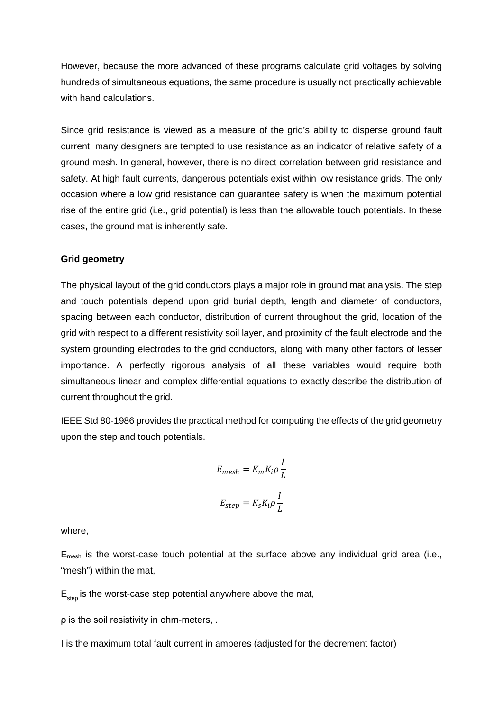However, because the more advanced of these programs calculate grid voltages by solving hundreds of simultaneous equations, the same procedure is usually not practically achievable with hand calculations.

Since grid resistance is viewed as a measure of the grid's ability to disperse ground fault current, many designers are tempted to use resistance as an indicator of relative safety of a ground mesh. In general, however, there is no direct correlation between grid resistance and safety. At high fault currents, dangerous potentials exist within low resistance grids. The only occasion where a low grid resistance can guarantee safety is when the maximum potential rise of the entire grid (i.e., grid potential) is less than the allowable touch potentials. In these cases, the ground mat is inherently safe.

#### **Grid geometry**

The physical layout of the grid conductors plays a major role in ground mat analysis. The step and touch potentials depend upon grid burial depth, length and diameter of conductors, spacing between each conductor, distribution of current throughout the grid, location of the grid with respect to a different resistivity soil layer, and proximity of the fault electrode and the system grounding electrodes to the grid conductors, along with many other factors of lesser importance. A perfectly rigorous analysis of all these variables would require both simultaneous linear and complex differential equations to exactly describe the distribution of current throughout the grid.

IEEE Std 80-1986 provides the practical method for computing the effects of the grid geometry upon the step and touch potentials.

$$
E_{mesh} = K_m K_i \rho \frac{I}{L}
$$

$$
E_{step} = K_s K_i \rho \frac{I}{L}
$$

where,

Emesh is the worst-case touch potential at the surface above any individual grid area (i.e., "mesh") within the mat,

 $E_{\text{step}}$  is the worst-case step potential anywhere above the mat,

ρ is the soil resistivity in ohm-meters, .

I is the maximum total fault current in amperes (adjusted for the decrement factor)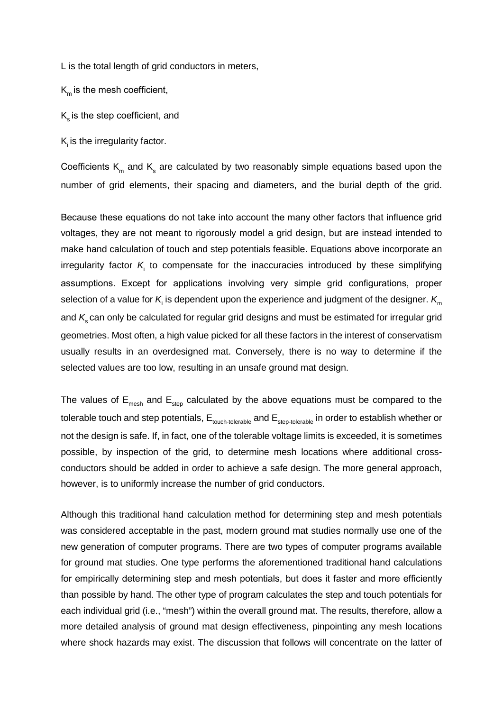L is the total length of grid conductors in meters,

 $K<sub>m</sub>$  is the mesh coefficient,

 $K<sub>s</sub>$  is the step coefficient, and

 $K<sub>i</sub>$  is the irregularity factor.

Coefficients  $K_{m}$  and  $K_{s}$  are calculated by two reasonably simple equations based upon the number of grid elements, their spacing and diameters, and the burial depth of the grid.

Because these equations do not take into account the many other factors that influence grid voltages, they are not meant to rigorously model a grid design, but are instead intended to make hand calculation of touch and step potentials feasible. Equations above incorporate an irregularity factor  $K_i$  to compensate for the inaccuracies introduced by these simplifying assumptions. Except for applications involving very simple grid configurations, proper selection of a value for  $K_i$  is dependent upon the experience and judgment of the designer.  $K_m$ and K<sub>s</sub> can only be calculated for regular grid designs and must be estimated for irregular grid geometries. Most often, a high value picked for all these factors in the interest of conservatism usually results in an overdesigned mat. Conversely, there is no way to determine if the selected values are too low, resulting in an unsafe ground mat design.

The values of  $E_{\text{mesh}}$  and  $E_{\text{step}}$  calculated by the above equations must be compared to the tolerable touch and step potentials,  $E_{touch\text{-tolerable}}$  and  $E_{step\text{-tolerable}}$  in order to establish whether or not the design is safe. If, in fact, one of the tolerable voltage limits is exceeded, it is sometimes possible, by inspection of the grid, to determine mesh locations where additional crossconductors should be added in order to achieve a safe design. The more general approach, however, is to uniformly increase the number of grid conductors.

Although this traditional hand calculation method for determining step and mesh potentials was considered acceptable in the past, modern ground mat studies normally use one of the new generation of computer programs. There are two types of computer programs available for ground mat studies. One type performs the aforementioned traditional hand calculations for empirically determining step and mesh potentials, but does it faster and more efficiently than possible by hand. The other type of program calculates the step and touch potentials for each individual grid (i.e., "mesh") within the overall ground mat. The results, therefore, allow a more detailed analysis of ground mat design effectiveness, pinpointing any mesh locations where shock hazards may exist. The discussion that follows will concentrate on the latter of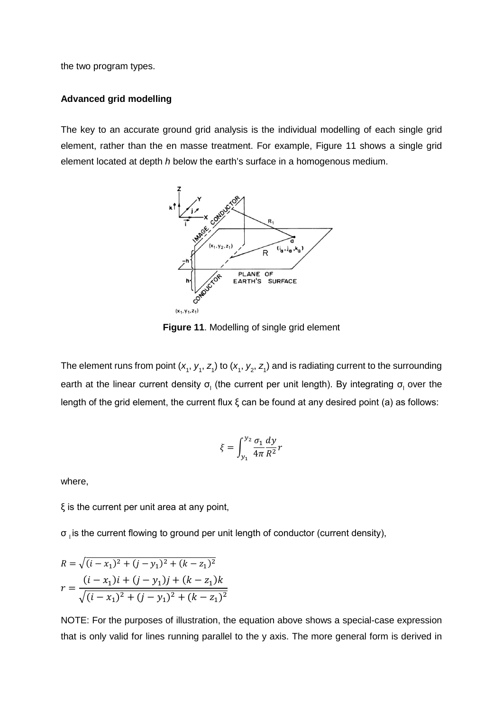the two program types.

# **Advanced grid modelling**

The key to an accurate ground grid analysis is the individual modelling of each single grid element, rather than the en masse treatment. For example, Figure 11 shows a single grid element located at depth *h* below the earth's surface in a homogenous medium.



**Figure 11**. Modelling of single grid element

The element runs from point  $(x_1, y_1, z_1)$  to  $(x_1, y_2, z_1)$  and is radiating current to the surrounding earth at the linear current density  $\sigma$  (the current per unit length). By integrating  $\sigma$  over the length of the grid element, the current flux ξ can be found at any desired point (a) as follows:

$$
\xi = \int_{y_1}^{y_2} \frac{\sigma_1}{4\pi} \frac{dy}{R^2} r
$$

where,

ξ is the current per unit area at any point,

 $\sigma_1$  is the current flowing to ground per unit length of conductor (current density),

$$
R = \sqrt{(i - x_1)^2 + (j - y_1)^2 + (k - z_1)^2}
$$

$$
r = \frac{(i - x_1)i + (j - y_1)j + (k - z_1)k}{\sqrt{(i - x_1)^2 + (j - y_1)^2 + (k - z_1)^2}}
$$

NOTE: For the purposes of illustration, the equation above shows a special-case expression that is only valid for lines running parallel to the y axis. The more general form is derived in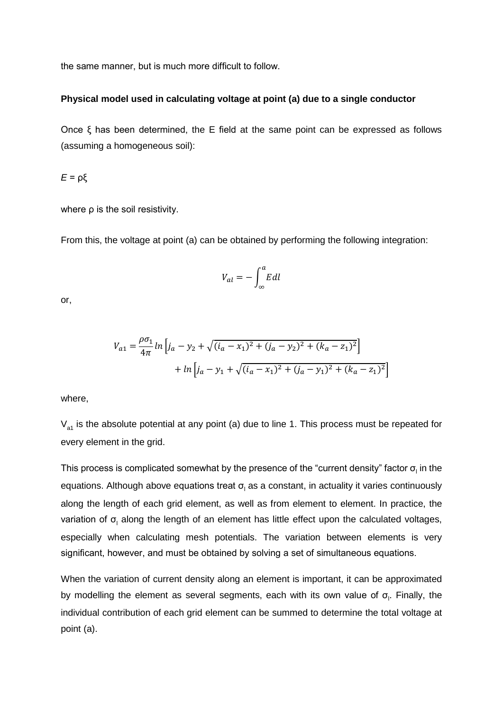the same manner, but is much more difficult to follow.

#### **Physical model used in calculating voltage at point (a) due to a single conductor**

Once ξ has been determined, the E field at the same point can be expressed as follows (assuming a homogeneous soil):

*E* = ρξ

where ρ is the soil resistivity.

From this, the voltage at point (a) can be obtained by performing the following integration:

$$
V_{al} = -\int_{\infty}^{a} Edl
$$

or,

$$
V_{a1} = \frac{\rho \sigma_1}{4\pi} \ln \left[ j_a - y_2 + \sqrt{(i_a - x_1)^2 + (j_a - y_2)^2 + (k_a - z_1)^2} \right]
$$

$$
+ \ln \left[ j_a - y_1 + \sqrt{(i_a - x_1)^2 + (j_a - y_1)^2 + (k_a - z_1)^2} \right]
$$

where,

 $V_{\text{A}1}$  is the absolute potential at any point (a) due to line 1. This process must be repeated for every element in the grid.

This process is complicated somewhat by the presence of the "current density" factor  $\sigma$  in the equations. Although above equations treat σ, as a constant, in actuality it varies continuously along the length of each grid element, as well as from element to element. In practice, the variation of  $σ<sub>i</sub>$  along the length of an element has little effect upon the calculated voltages, especially when calculating mesh potentials. The variation between elements is very significant, however, and must be obtained by solving a set of simultaneous equations.

When the variation of current density along an element is important, it can be approximated by modelling the element as several segments, each with its own value of σ<sub>ι</sub>. Finally, the individual contribution of each grid element can be summed to determine the total voltage at point (a).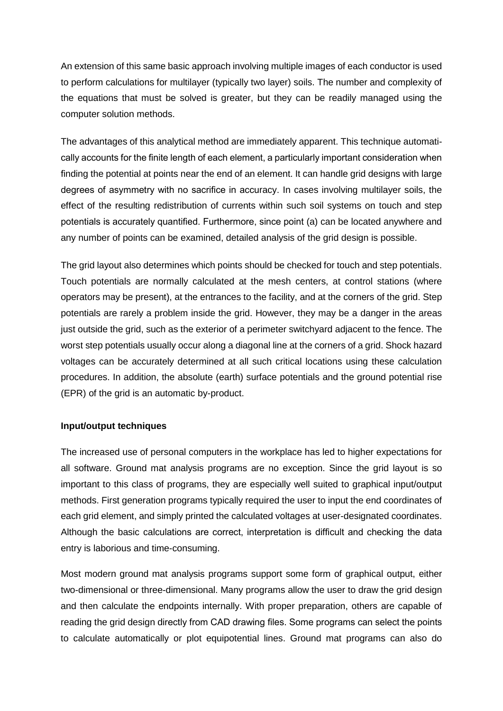An extension of this same basic approach involving multiple images of each conductor is used to perform calculations for multilayer (typically two layer) soils. The number and complexity of the equations that must be solved is greater, but they can be readily managed using the computer solution methods.

The advantages of this analytical method are immediately apparent. This technique automatically accounts for the finite length of each element, a particularly important consideration when finding the potential at points near the end of an element. It can handle grid designs with large degrees of asymmetry with no sacrifice in accuracy. In cases involving multilayer soils, the effect of the resulting redistribution of currents within such soil systems on touch and step potentials is accurately quantified. Furthermore, since point (a) can be located anywhere and any number of points can be examined, detailed analysis of the grid design is possible.

The grid layout also determines which points should be checked for touch and step potentials. Touch potentials are normally calculated at the mesh centers, at control stations (where operators may be present), at the entrances to the facility, and at the corners of the grid. Step potentials are rarely a problem inside the grid. However, they may be a danger in the areas just outside the grid, such as the exterior of a perimeter switchyard adjacent to the fence. The worst step potentials usually occur along a diagonal line at the corners of a grid. Shock hazard voltages can be accurately determined at all such critical locations using these calculation procedures. In addition, the absolute (earth) surface potentials and the ground potential rise (EPR) of the grid is an automatic by-product.

# **Input/output techniques**

The increased use of personal computers in the workplace has led to higher expectations for all software. Ground mat analysis programs are no exception. Since the grid layout is so important to this class of programs, they are especially well suited to graphical input/output methods. First generation programs typically required the user to input the end coordinates of each grid element, and simply printed the calculated voltages at user-designated coordinates. Although the basic calculations are correct, interpretation is difficult and checking the data entry is laborious and time-consuming.

Most modern ground mat analysis programs support some form of graphical output, either two-dimensional or three-dimensional. Many programs allow the user to draw the grid design and then calculate the endpoints internally. With proper preparation, others are capable of reading the grid design directly from CAD drawing files. Some programs can select the points to calculate automatically or plot equipotential lines. Ground mat programs can also do